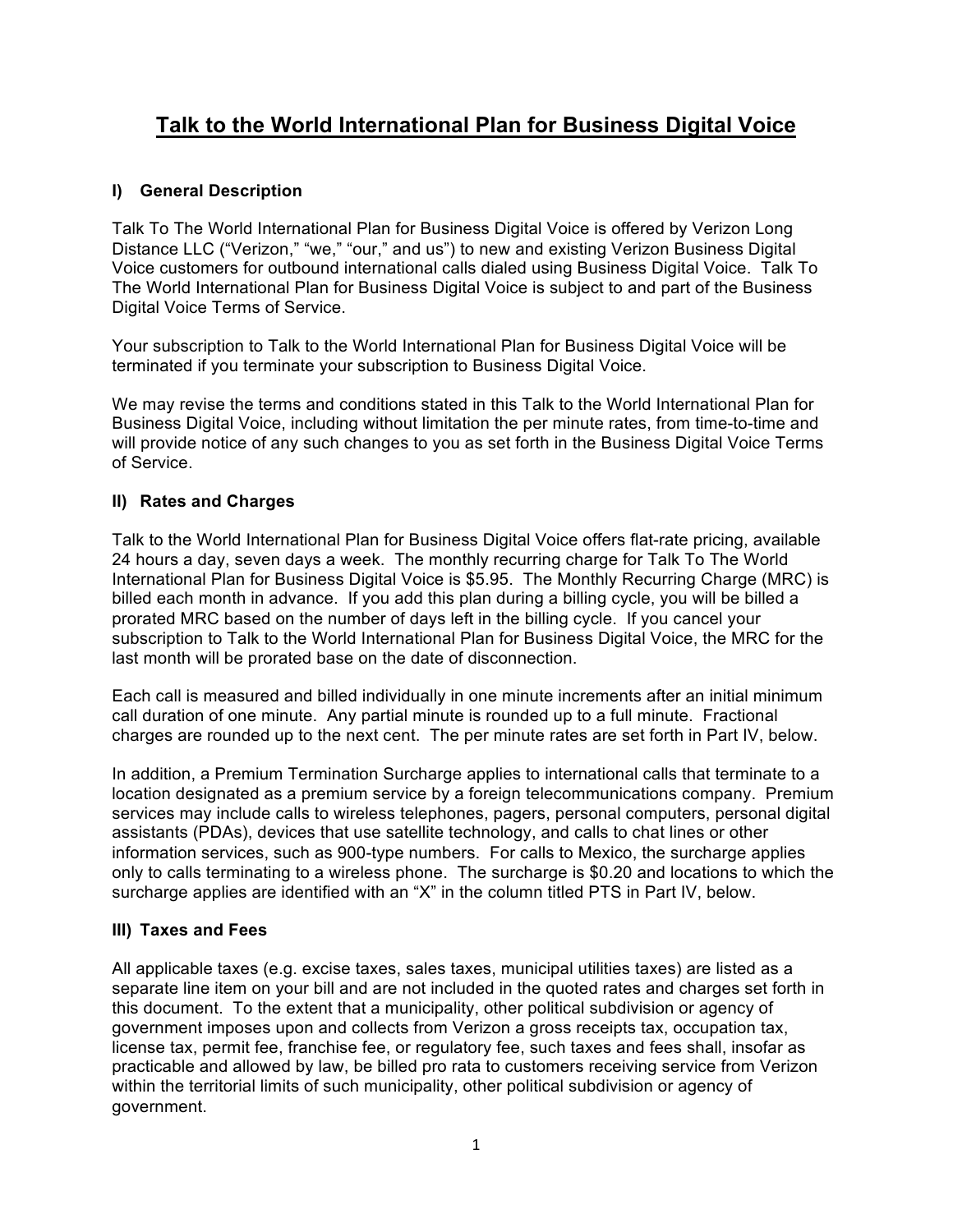# **Talk to the World International Plan for Business Digital Voice**

## **I) General Description**

Talk To The World International Plan for Business Digital Voice is offered by Verizon Long Distance LLC ("Verizon," "we," "our," and us") to new and existing Verizon Business Digital Voice customers for outbound international calls dialed using Business Digital Voice. Talk To The World International Plan for Business Digital Voice is subject to and part of the Business Digital Voice Terms of Service.

Your subscription to Talk to the World International Plan for Business Digital Voice will be terminated if you terminate your subscription to Business Digital Voice.

We may revise the terms and conditions stated in this Talk to the World International Plan for Business Digital Voice, including without limitation the per minute rates, from time-to-time and will provide notice of any such changes to you as set forth in the Business Digital Voice Terms of Service.

# **II) Rates and Charges**

Talk to the World International Plan for Business Digital Voice offers flat-rate pricing, available 24 hours a day, seven days a week. The monthly recurring charge for Talk To The World International Plan for Business Digital Voice is \$5.95. The Monthly Recurring Charge (MRC) is billed each month in advance. If you add this plan during a billing cycle, you will be billed a prorated MRC based on the number of days left in the billing cycle. If you cancel your subscription to Talk to the World International Plan for Business Digital Voice, the MRC for the last month will be prorated base on the date of disconnection.

Each call is measured and billed individually in one minute increments after an initial minimum call duration of one minute. Any partial minute is rounded up to a full minute. Fractional charges are rounded up to the next cent. The per minute rates are set forth in Part IV, below.

In addition, a Premium Termination Surcharge applies to international calls that terminate to a location designated as a premium service by a foreign telecommunications company. Premium services may include calls to wireless telephones, pagers, personal computers, personal digital assistants (PDAs), devices that use satellite technology, and calls to chat lines or other information services, such as 900-type numbers. For calls to Mexico, the surcharge applies only to calls terminating to a wireless phone. The surcharge is \$0.20 and locations to which the surcharge applies are identified with an "X" in the column titled PTS in Part IV, below.

### **III) Taxes and Fees**

All applicable taxes (e.g. excise taxes, sales taxes, municipal utilities taxes) are listed as a separate line item on your bill and are not included in the quoted rates and charges set forth in this document. To the extent that a municipality, other political subdivision or agency of government imposes upon and collects from Verizon a gross receipts tax, occupation tax, license tax, permit fee, franchise fee, or regulatory fee, such taxes and fees shall, insofar as practicable and allowed by law, be billed pro rata to customers receiving service from Verizon within the territorial limits of such municipality, other political subdivision or agency of government.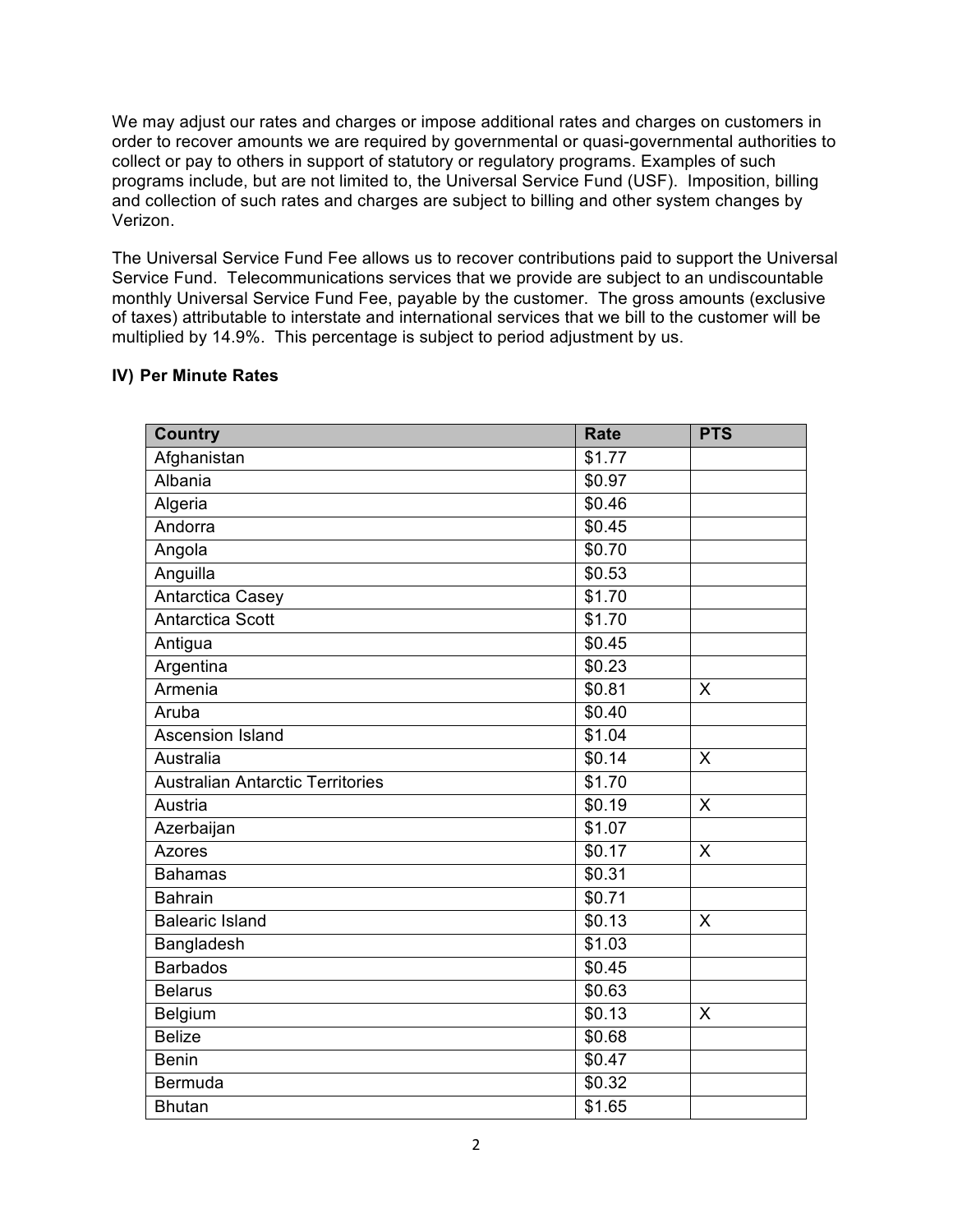We may adjust our rates and charges or impose additional rates and charges on customers in order to recover amounts we are required by governmental or quasi-governmental authorities to collect or pay to others in support of statutory or regulatory programs. Examples of such programs include, but are not limited to, the Universal Service Fund (USF). Imposition, billing and collection of such rates and charges are subject to billing and other system changes by Verizon.

The Universal Service Fund Fee allows us to recover contributions paid to support the Universal Service Fund. Telecommunications services that we provide are subject to an undiscountable monthly Universal Service Fund Fee, payable by the customer. The gross amounts (exclusive of taxes) attributable to interstate and international services that we bill to the customer will be multiplied by 14.9%. This percentage is subject to period adjustment by us.

#### **IV) Per Minute Rates**

| <b>Country</b>                          | <b>Rate</b> | <b>PTS</b>   |
|-----------------------------------------|-------------|--------------|
| Afghanistan                             | \$1.77      |              |
| Albania                                 | \$0.97      |              |
| Algeria                                 | \$0.46      |              |
| Andorra                                 | \$0.45      |              |
| Angola                                  | \$0.70      |              |
| Anguilla                                | \$0.53      |              |
| Antarctica Casey                        | \$1.70      |              |
| <b>Antarctica Scott</b>                 | \$1.70      |              |
| Antigua                                 | \$0.45      |              |
| Argentina                               | \$0.23      |              |
| Armenia                                 | \$0.81      | X            |
| Aruba                                   | \$0.40      |              |
| <b>Ascension Island</b>                 | \$1.04      |              |
| Australia                               | \$0.14      | X            |
| <b>Australian Antarctic Territories</b> | \$1.70      |              |
| Austria                                 | \$0.19      | X            |
| Azerbaijan                              | \$1.07      |              |
| <b>Azores</b>                           | \$0.17      | $\mathsf{X}$ |
| <b>Bahamas</b>                          | \$0.31      |              |
| <b>Bahrain</b>                          | \$0.71      |              |
| <b>Balearic Island</b>                  | \$0.13      | $\times$     |
| Bangladesh                              | \$1.03      |              |
| <b>Barbados</b>                         | \$0.45      |              |
| <b>Belarus</b>                          | \$0.63      |              |
| Belgium                                 | \$0.13      | $\times$     |
| <b>Belize</b>                           | \$0.68      |              |
| <b>Benin</b>                            | \$0.47      |              |
| Bermuda                                 | \$0.32      |              |
| <b>Bhutan</b>                           | \$1.65      |              |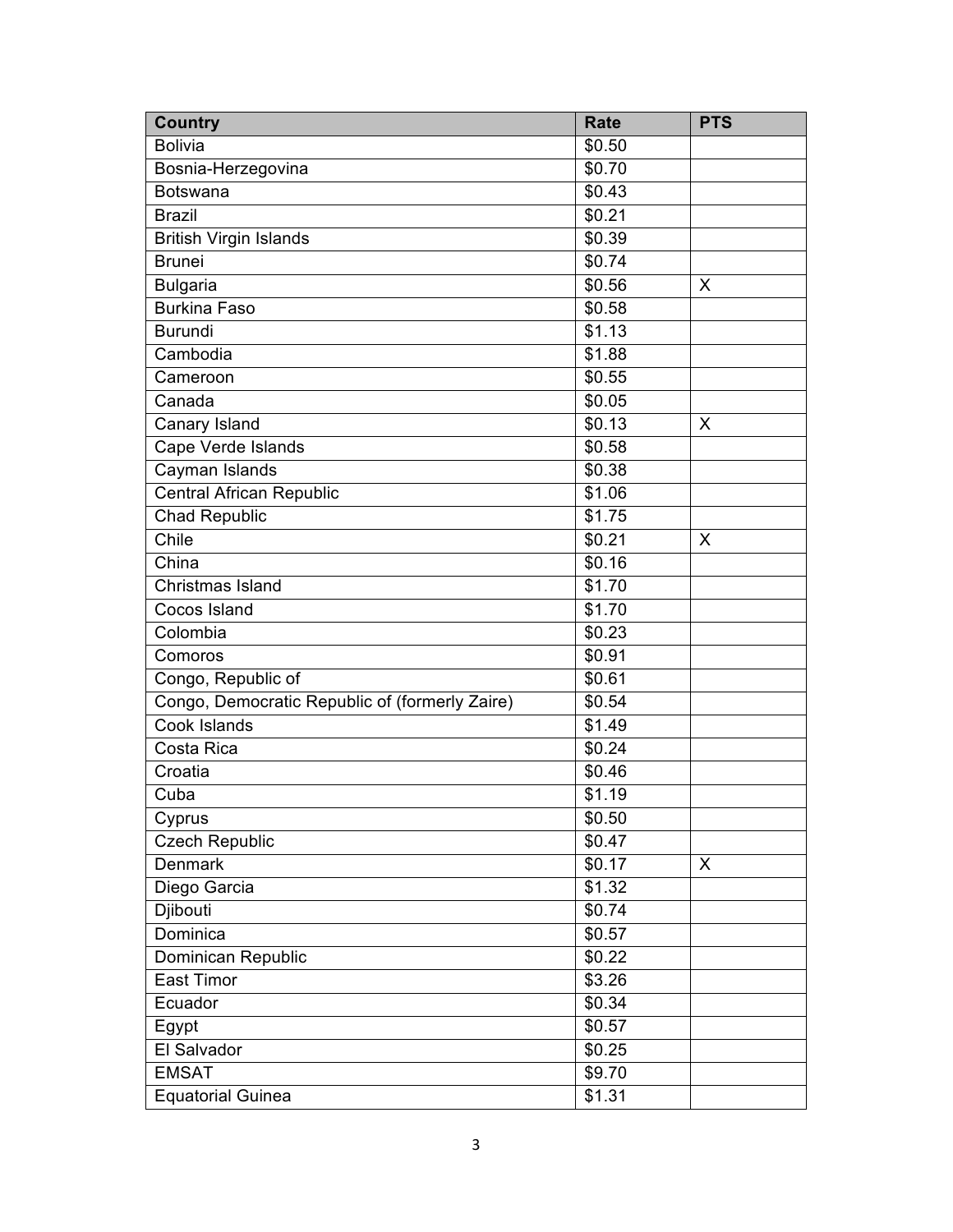| <b>Country</b>                                 | <b>Rate</b> | <b>PTS</b> |
|------------------------------------------------|-------------|------------|
| <b>Bolivia</b>                                 | \$0.50      |            |
| Bosnia-Herzegovina                             | \$0.70      |            |
| <b>Botswana</b>                                | \$0.43      |            |
| <b>Brazil</b>                                  | \$0.21      |            |
| <b>British Virgin Islands</b>                  | \$0.39      |            |
| <b>Brunei</b>                                  | \$0.74      |            |
| <b>Bulgaria</b>                                | \$0.56      | X          |
| <b>Burkina Faso</b>                            | \$0.58      |            |
| <b>Burundi</b>                                 | \$1.13      |            |
| Cambodia                                       | \$1.88      |            |
| Cameroon                                       | \$0.55      |            |
| Canada                                         | \$0.05      |            |
| Canary Island                                  | \$0.13      | X          |
| Cape Verde Islands                             | \$0.58      |            |
| Cayman Islands                                 | \$0.38      |            |
| <b>Central African Republic</b>                | \$1.06      |            |
| <b>Chad Republic</b>                           | \$1.75      |            |
| Chile                                          | \$0.21      | X          |
| China                                          | \$0.16      |            |
| Christmas Island                               | \$1.70      |            |
| Cocos Island                                   | \$1.70      |            |
| Colombia                                       | \$0.23      |            |
| Comoros                                        | \$0.91      |            |
| Congo, Republic of                             | \$0.61      |            |
| Congo, Democratic Republic of (formerly Zaire) | \$0.54      |            |
| <b>Cook Islands</b>                            | \$1.49      |            |
| Costa Rica                                     | \$0.24      |            |
| Croatia                                        | \$0.46      |            |
| Cuba                                           | \$1.19      |            |
| Cyprus                                         | \$0.50      |            |
| <b>Czech Republic</b>                          | \$0.47      |            |
| Denmark                                        | \$0.17      | X          |
| Diego Garcia                                   | \$1.32      |            |
| Djibouti                                       | \$0.74      |            |
| Dominica                                       | \$0.57      |            |
| Dominican Republic                             | \$0.22      |            |
| East Timor                                     | \$3.26      |            |
| Ecuador                                        | \$0.34      |            |
| Egypt                                          | \$0.57      |            |
| El Salvador                                    | \$0.25      |            |
| <b>EMSAT</b>                                   | \$9.70      |            |
| <b>Equatorial Guinea</b>                       | \$1.31      |            |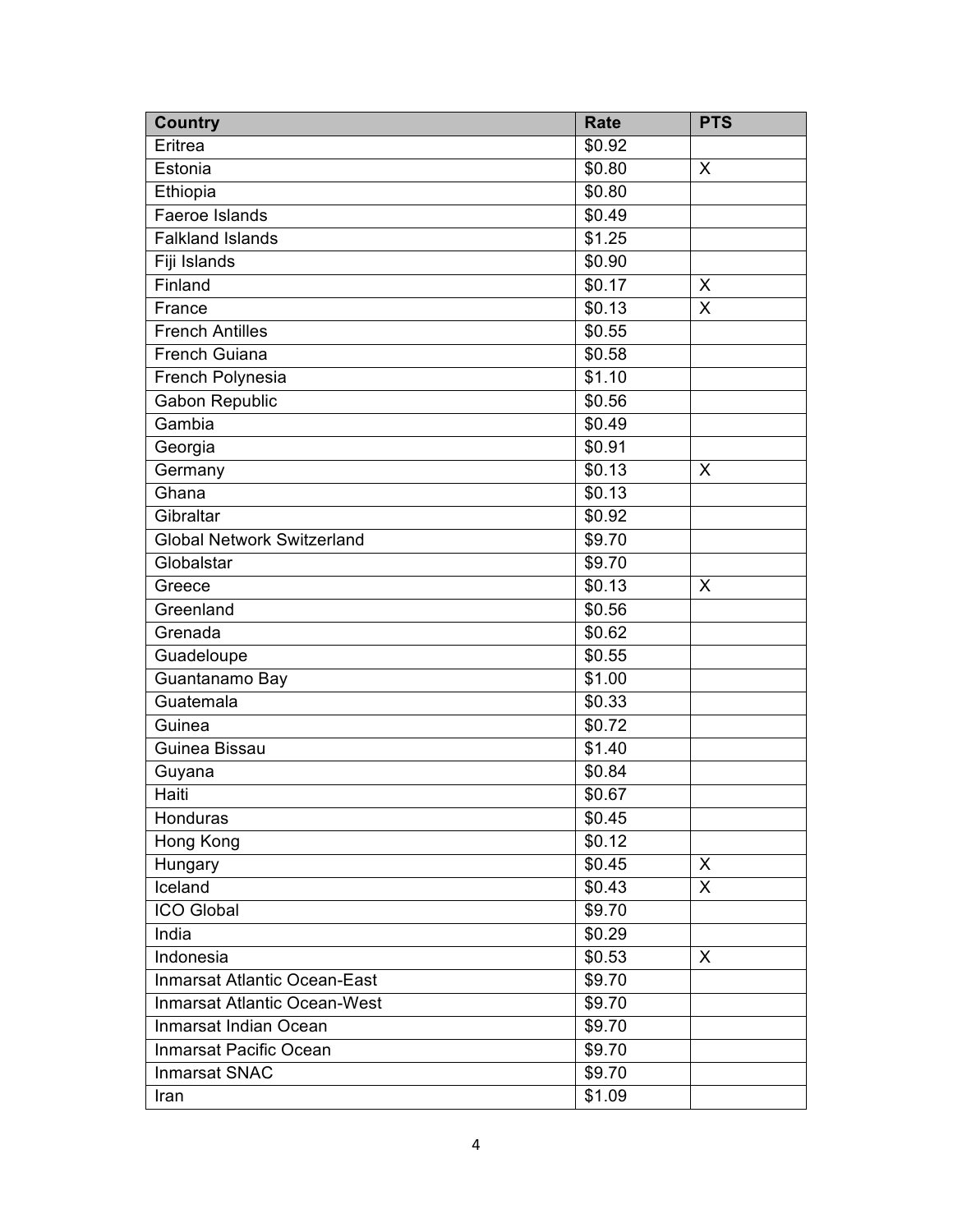| <b>Country</b>                      | <b>Rate</b>        | <b>PTS</b> |
|-------------------------------------|--------------------|------------|
| Eritrea                             | \$0.92             |            |
| Estonia                             | \$0.80             | $\times$   |
| Ethiopia                            | \$0.80             |            |
| Faeroe Islands                      | \$0.49             |            |
| <b>Falkland Islands</b>             | \$1.25             |            |
| Fiji Islands                        | \$0.90             |            |
| Finland                             | \$0.17             | X          |
| France                              | \$0.13             | X          |
| <b>French Antilles</b>              | \$0.55             |            |
| French Guiana                       | \$0.58             |            |
| French Polynesia                    | \$1.10             |            |
| <b>Gabon Republic</b>               | \$0.56             |            |
| Gambia                              | \$0.49             |            |
| Georgia                             | \$0.91             |            |
| Germany                             | \$0.13             | X          |
| Ghana                               | $\overline{$}0.13$ |            |
| Gibraltar                           | \$0.92             |            |
| <b>Global Network Switzerland</b>   | $\overline{$9.70}$ |            |
| Globalstar                          | \$9.70             |            |
| Greece                              | \$0.13             | X          |
| Greenland                           | \$0.56             |            |
| Grenada                             | \$0.62             |            |
| Guadeloupe                          | \$0.55             |            |
| Guantanamo Bay                      | \$1.00             |            |
| Guatemala                           | \$0.33             |            |
| Guinea                              | \$0.72             |            |
| Guinea Bissau                       | \$1.40             |            |
| Guyana                              | \$0.84             |            |
| Haiti                               | \$0.67             |            |
| Honduras                            | \$0.45             |            |
| Hong Kong                           | \$0.12             |            |
| Hungary                             | \$0.45             | $\sf X$    |
| Iceland                             | \$0.43             | X          |
| <b>ICO Global</b>                   | \$9.70             |            |
| India                               | \$0.29             |            |
| Indonesia                           | \$0.53             | X          |
| <b>Inmarsat Atlantic Ocean-East</b> | \$9.70             |            |
| <b>Inmarsat Atlantic Ocean-West</b> | \$9.70             |            |
| Inmarsat Indian Ocean               | \$9.70             |            |
| Inmarsat Pacific Ocean              | \$9.70             |            |
| <b>Inmarsat SNAC</b>                | \$9.70             |            |
| Iran                                | \$1.09             |            |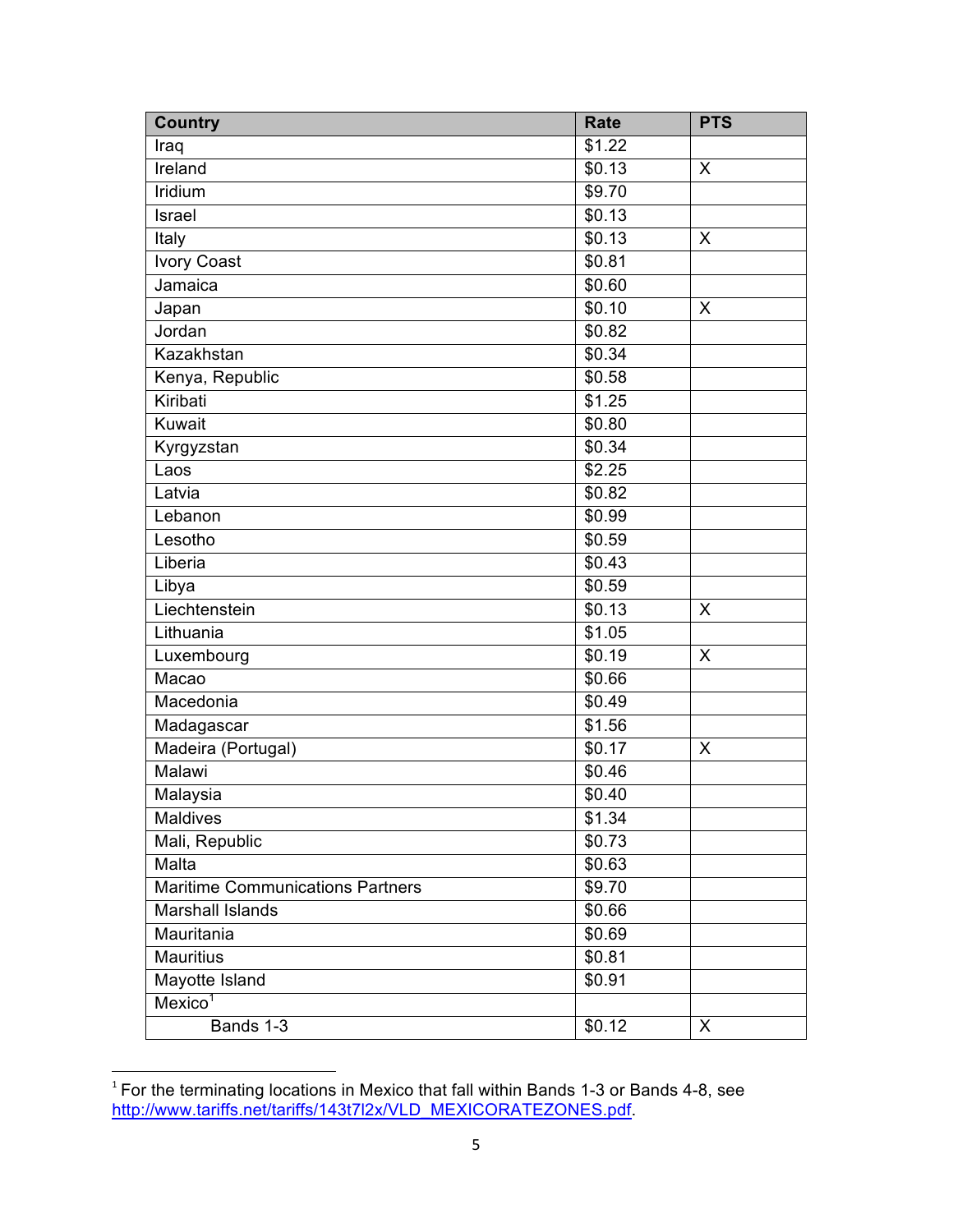| <b>Country</b>                          | <b>Rate</b> | <b>PTS</b> |
|-----------------------------------------|-------------|------------|
| Iraq                                    | \$1.22      |            |
| Ireland                                 | \$0.13      | X          |
| Iridium                                 | \$9.70      |            |
| Israel                                  | \$0.13      |            |
| Italy                                   | \$0.13      | $\times$   |
| <b>Ivory Coast</b>                      | \$0.81      |            |
| Jamaica                                 | \$0.60      |            |
| Japan                                   | \$0.10      | X          |
| Jordan                                  | \$0.82      |            |
| Kazakhstan                              | \$0.34      |            |
| Kenya, Republic                         | \$0.58      |            |
| Kiribati                                | \$1.25      |            |
| Kuwait                                  | \$0.80      |            |
| Kyrgyzstan                              | \$0.34      |            |
| Laos                                    | \$2.25      |            |
| Latvia                                  | \$0.82      |            |
| Lebanon                                 | \$0.99      |            |
| Lesotho                                 | \$0.59      |            |
| Liberia                                 | \$0.43      |            |
| Libya                                   | \$0.59      |            |
| Liechtenstein                           | \$0.13      | $\sf X$    |
| Lithuania                               | \$1.05      |            |
| Luxembourg                              | \$0.19      | X          |
| Macao                                   | \$0.66      |            |
| Macedonia                               | \$0.49      |            |
| Madagascar                              | \$1.56      |            |
| Madeira (Portugal)                      | \$0.17      | X          |
| Malawi                                  | \$0.46      |            |
| Malaysia                                | \$0.40      |            |
| Maldives                                | \$1.34      |            |
| Mali, Republic                          | \$0.73      |            |
| Malta                                   | \$0.63      |            |
| <b>Maritime Communications Partners</b> | \$9.70      |            |
| <b>Marshall Islands</b>                 | \$0.66      |            |
| Mauritania                              | \$0.69      |            |
| <b>Mauritius</b>                        | \$0.81      |            |
| Mayotte Island                          | \$0.91      |            |
| Mexico <sup>1</sup>                     |             |            |
| Bands 1-3                               | \$0.12      | X          |

 $1$  For the terminating locations in Mexico that fall within Bands 1-3 or Bands 4-8, see http://www.tariffs.net/tariffs/143t7l2x/VLD\_MEXICORATEZONES.pdf.

<u> 1989 - Johann Barn, mars ann an t-Amhain an t-Amhain an t-Amhain an t-Amhain an t-Amhain an t-Amhain an t-Amh</u>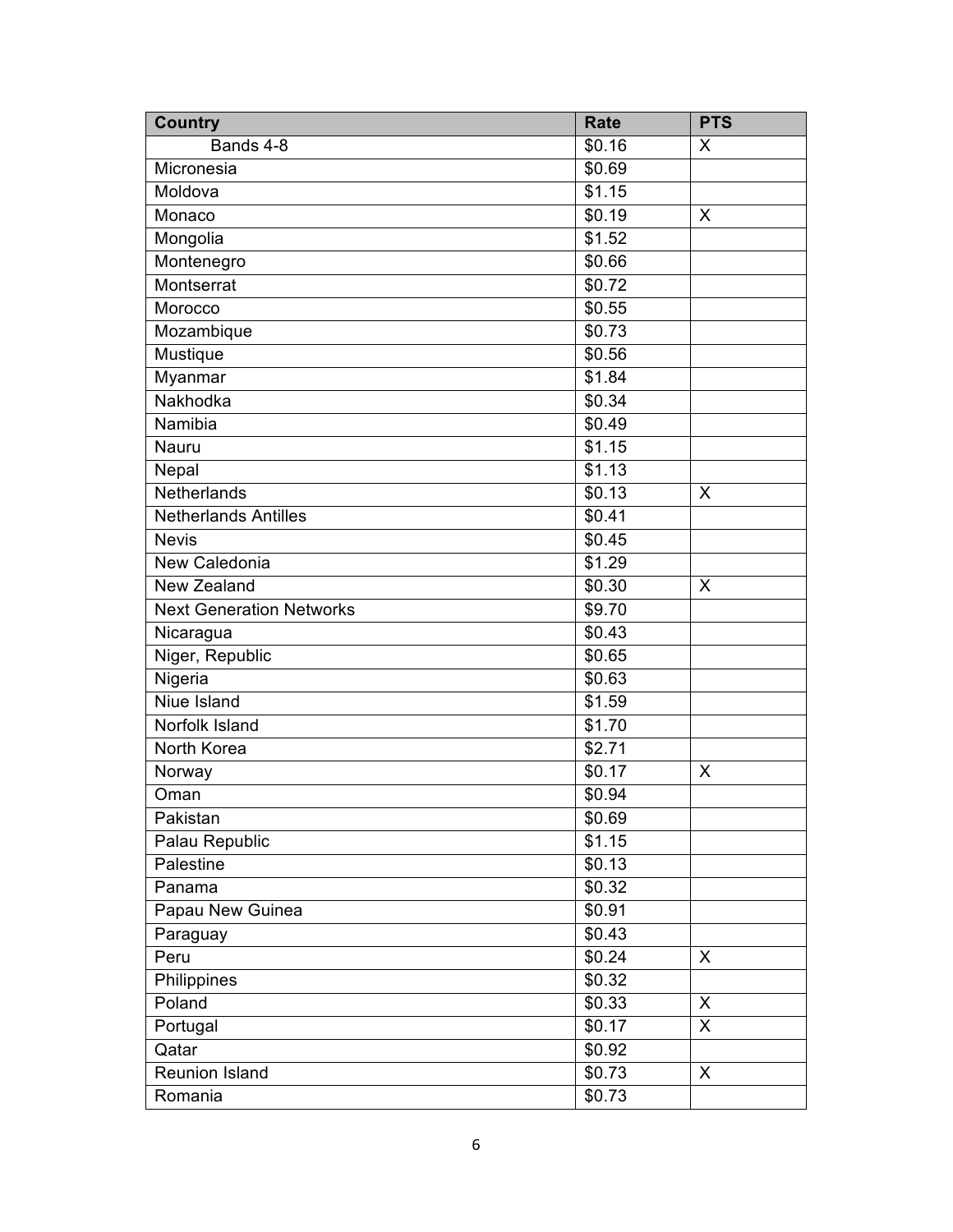| <b>Country</b>                  | <b>Rate</b>        | <b>PTS</b> |
|---------------------------------|--------------------|------------|
| Bands 4-8                       | \$0.16             | X          |
| Micronesia                      | \$0.69             |            |
| Moldova                         | \$1.15             |            |
| Monaco                          | \$0.19             | X          |
| Mongolia                        | \$1.52             |            |
| Montenegro                      | \$0.66             |            |
| Montserrat                      | \$0.72             |            |
| Morocco                         | \$0.55             |            |
| Mozambique                      | \$0.73             |            |
| Mustique                        | \$0.56             |            |
| Myanmar                         | \$1.84             |            |
| Nakhodka                        | \$0.34             |            |
| Namibia                         | \$0.49             |            |
| Nauru                           | \$1.15             |            |
| Nepal                           | \$1.13             |            |
| Netherlands                     | \$0.13             | X          |
| <b>Netherlands Antilles</b>     | \$0.41             |            |
| <b>Nevis</b>                    | $\overline{$}0.45$ |            |
| <b>New Caledonia</b>            | \$1.29             |            |
| New Zealand                     | \$0.30             | X          |
| <b>Next Generation Networks</b> | \$9.70             |            |
| Nicaragua                       | \$0.43             |            |
| Niger, Republic                 | \$0.65             |            |
| Nigeria                         | \$0.63             |            |
| <b>Niue Island</b>              | \$1.59             |            |
| Norfolk Island                  | \$1.70             |            |
| North Korea                     | \$2.71             |            |
| Norway                          | \$0.17             | X          |
| Oman                            | \$0.94             |            |
| Pakistan                        | \$0.69             |            |
| Palau Republic                  | \$1.15             |            |
| Palestine                       | \$0.13             |            |
| Panama                          | \$0.32             |            |
| Papau New Guinea                | \$0.91             |            |
| Paraguay                        | \$0.43             |            |
| Peru                            | \$0.24             | X          |
| Philippines                     | \$0.32             |            |
| Poland                          | \$0.33             | X          |
| Portugal                        | \$0.17             | X          |
| Qatar                           | \$0.92             |            |
| Reunion Island                  | \$0.73             | X          |
| Romania                         | \$0.73             |            |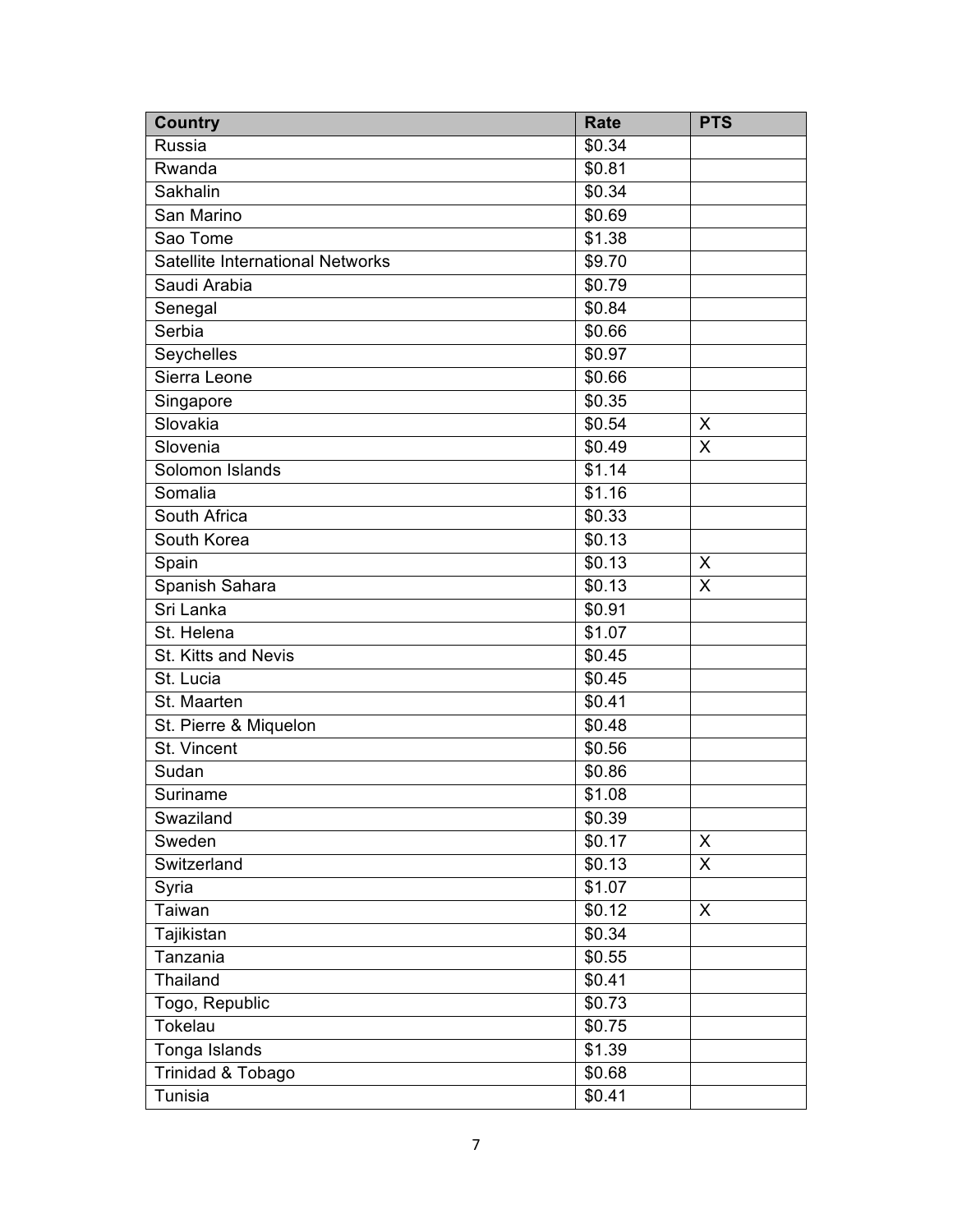| <b>Country</b>                   | <b>Rate</b> | <b>PTS</b>              |
|----------------------------------|-------------|-------------------------|
| Russia                           | \$0.34      |                         |
| Rwanda                           | \$0.81      |                         |
| Sakhalin                         | \$0.34      |                         |
| San Marino                       | \$0.69      |                         |
| Sao Tome                         | \$1.38      |                         |
| Satellite International Networks | \$9.70      |                         |
| Saudi Arabia                     | \$0.79      |                         |
| Senegal                          | \$0.84      |                         |
| Serbia                           | \$0.66      |                         |
| Seychelles                       | \$0.97      |                         |
| Sierra Leone                     | \$0.66      |                         |
| Singapore                        | \$0.35      |                         |
| Slovakia                         | \$0.54      | X                       |
| Slovenia                         | \$0.49      | $\overline{\mathsf{x}}$ |
| Solomon Islands                  | \$1.14      |                         |
| Somalia                          | \$1.16      |                         |
| South Africa                     | \$0.33      |                         |
| South Korea                      | \$0.13      |                         |
| Spain                            | \$0.13      | X                       |
| Spanish Sahara                   | \$0.13      | X                       |
| Sri Lanka                        | \$0.91      |                         |
| St. Helena                       | \$1.07      |                         |
| St. Kitts and Nevis              | \$0.45      |                         |
| St. Lucia                        | \$0.45      |                         |
| St. Maarten                      | \$0.41      |                         |
| St. Pierre & Miquelon            | \$0.48      |                         |
| St. Vincent                      | \$0.56      |                         |
| Sudan                            | \$0.86      |                         |
| Suriname                         | \$1.08      |                         |
| Swaziland                        | \$0.39      |                         |
| Sweden                           | \$0.17      | X                       |
| Switzerland                      | \$0.13      | X                       |
| Syria                            | \$1.07      |                         |
| Taiwan                           | \$0.12      | X                       |
| Tajikistan                       | \$0.34      |                         |
| Tanzania                         | \$0.55      |                         |
| Thailand                         | \$0.41      |                         |
| Togo, Republic                   | \$0.73      |                         |
| Tokelau                          | \$0.75      |                         |
| Tonga Islands                    | \$1.39      |                         |
| Trinidad & Tobago                | \$0.68      |                         |
| Tunisia                          | \$0.41      |                         |